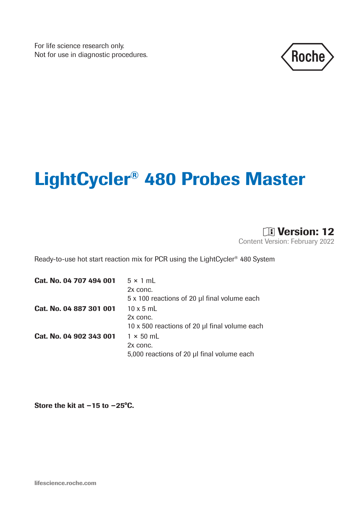For life science research only. Not for use in diagnostic procedures.



# LightCycler® 480 Probes Master



Ready-to-use hot start reaction mix for PCR using the LightCycler®  480 System

| $5 \times 1$ mL                               |
|-----------------------------------------------|
| 2x conc.                                      |
| 5 x 100 reactions of 20 µl final volume each  |
| $10 \times 5$ mL                              |
| 2x conc.                                      |
| 10 x 500 reactions of 20 µl final volume each |
| $1 \times 50$ mL                              |
| 2x conc.                                      |
| 5,000 reactions of 20 µl final volume each    |
|                                               |

Store the kit at −15 to −25°C.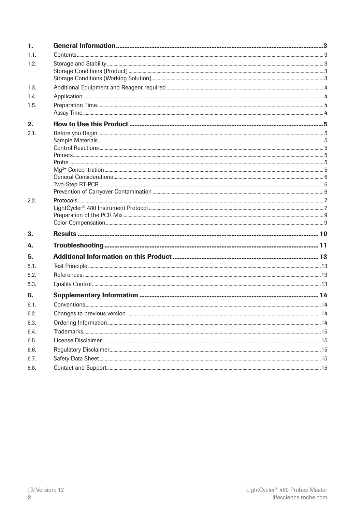| 1.   |  |
|------|--|
| 1.1. |  |
| 1.2. |  |
|      |  |
|      |  |
| 1.3. |  |
| 1.4. |  |
| 1.5. |  |
| 2.   |  |
| 2.1. |  |
|      |  |
|      |  |
|      |  |
|      |  |
|      |  |
|      |  |
| 2.2. |  |
|      |  |
|      |  |
|      |  |
| 3.   |  |
| 4.   |  |
| 5.   |  |
| 5.1. |  |
| 5.2. |  |
| 5.3. |  |
| 6.   |  |
| 6.1. |  |
| 6.2. |  |
| 6.3. |  |
| 6.4. |  |
| 6.5. |  |
| 6.6. |  |
| 6.7. |  |
| 6.8. |  |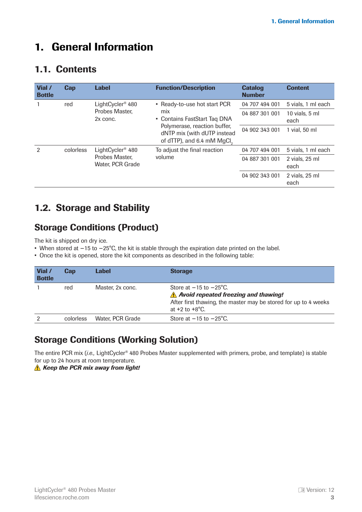# <span id="page-2-0"></span>1. General Information

## 1.1. Contents

| Vial /<br><b>Bottle</b> | Cap                                                                       | <b>Label</b>                                                                                                                                                               | <b>Function/Description</b> | <b>Catalog</b><br><b>Number</b> | <b>Content</b>         |
|-------------------------|---------------------------------------------------------------------------|----------------------------------------------------------------------------------------------------------------------------------------------------------------------------|-----------------------------|---------------------------------|------------------------|
|                         | LightCycler <sup>®</sup> 480<br>• Ready-to-use hot start PCR<br>red       | 04 707 494 001                                                                                                                                                             | 5 vials, 1 ml each          |                                 |                        |
|                         |                                                                           | Probes Master,<br>mix<br>• Contains FastStart Tag DNA<br>2x conc.<br>Polymerase, reaction buffer,<br>dNTP mix (with dUTP instead<br>of dTTP), and 6.4 mM MgCl <sub>2</sub> | 04 887 301 001              | 10 vials, 5 ml<br>each          |                        |
|                         |                                                                           |                                                                                                                                                                            | 04 902 343 001              | 1 vial, 50 ml                   |                        |
| $\mathcal{P}$           | LightCycler <sup>®</sup> 480<br>colorless<br>To adjust the final reaction |                                                                                                                                                                            | 04 707 494 001              | 5 vials, 1 ml each              |                        |
|                         | Probes Master.<br>Water, PCR Grade                                        | volume                                                                                                                                                                     | 04 887 301 001              | 2 vials, 25 ml<br>each          |                        |
|                         |                                                                           |                                                                                                                                                                            |                             | 04 902 343 001                  | 2 vials, 25 ml<br>each |

# 1.2. Storage and Stability

# Storage Conditions (Product)

The kit is shipped on dry ice.

- When stored at −15 to −25°C, the kit is stable through the expiration date printed on the label.
- Once the kit is opened, store the kit components as described in the following table:

| Vial /<br><b>Bottle</b> | Cap       | Label            | <b>Storage</b>                                                                                                                                                                        |
|-------------------------|-----------|------------------|---------------------------------------------------------------------------------------------------------------------------------------------------------------------------------------|
|                         | red       | Master, 2x conc. | Store at $-15$ to $-25^{\circ}$ C.<br>$\Lambda$ Avoid repeated freezing and thawing!<br>After first thawing, the master may be stored for up to 4 weeks<br>at $+2$ to $+8^{\circ}$ C. |
|                         | colorless | Water, PCR Grade | Store at $-15$ to $-25^{\circ}$ C.                                                                                                                                                    |

### Storage Conditions (Working Solution)

The entire PCR mix (*i.e.,* LightCycler®  480 Probes Master supplemented with primers, probe, and template) is stable for up to 24 hours at room temperature.

*A* Keep the PCR mix away from light!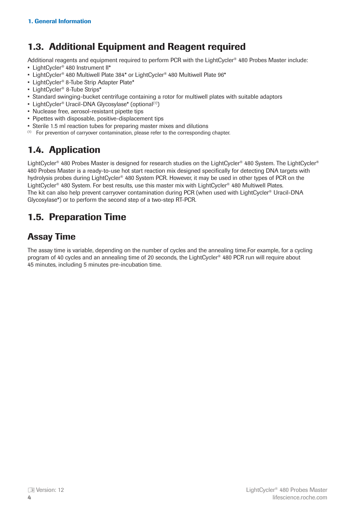# <span id="page-3-0"></span>1.3. Additional Equipment and Reagent required

Additional reagents and equipment required to perform PCR with the LightCycler® 480 Probes Master include:

- LightCycler<sup>®</sup> 480 Instrument II\*
- LightCycler<sup>®</sup> 480 Multiwell Plate 384<sup>\*</sup> or LightCycler<sup>®</sup> 480 Multiwell Plate 96<sup>\*</sup>
- LightCycler<sup>®</sup> 8-Tube Strip Adapter Plate\*
- LightCycler®  8-Tube Strips\*
- Standard swinging-bucket centrifuge containing a rotor for multiwell plates with suitable adaptors
- LightCycler<sup>®</sup> Uracil-DNA Glycosylase\* (optional<sup>(1)</sup>)
- Nuclease free, aerosol-resistant pipette tips
- Pipettes with disposable, positive-displacement tips
- Sterile 1.5 ml reaction tubes for preparing master mixes and dilutions
- $(1)$  For prevention of carryover contamination, please refer to the corresponding chapter.

# 1.4. Application

LightCycler<sup>®</sup> 480 Probes Master is designed for research studies on the LightCycler<sup>®</sup> 480 System. The LightCycler<sup>®</sup> 480 Probes Master is a ready-to-use hot start reaction mix designed specifically for detecting DNA targets with hydrolysis probes during LightCycler<sup>®</sup> 480 System PCR. However, it may be used in other types of PCR on the LightCycler<sup>®</sup> 480 System. For best results, use this master mix with LightCycler<sup>®</sup> 480 Multiwell Plates. The kit can also help prevent carryover contamination during PCR (when used with LightCycler®  Uracil-DNA Glycosylase\*) or to perform the second step of a two-step RT-PCR.

# 1.5. Preparation Time

# Assay Time

The assay time is variable, depending on the number of cycles and the annealing time.For example, for a cycling program of 40 cycles and an annealing time of 20 seconds, the LightCycler® 480 PCR run will require about 45 minutes, including 5 minutes pre-incubation time.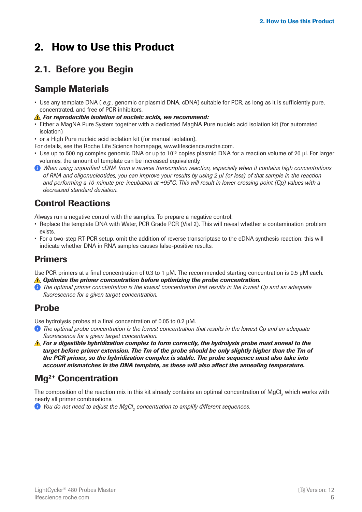# <span id="page-4-0"></span>2. How to Use this Product

# 2.1. Before you Begin

### Sample Materials

- Use any template DNA ( *e.g.,* genomic or plasmid DNA, cDNA) suitable for PCR, as long as it is sufficiently pure, concentrated, and free of PCR inhibitors.
- *For reproducible isolation of nucleic acids, we recommend:*
- Either a MagNA Pure System together with a dedicated MagNA Pure nucleic acid isolation kit (for automated isolation)
- or a High Pure nucleic acid isolation kit (for manual isolation).
- For details, see the Roche Life Science homepage, www.lifescience.roche.com.
- Use up to 500 ng complex genomic DNA or up to 10<sup>10</sup> copies plasmid DNA for a reaction volume of 20 μl. For larger volumes, the amount of template can be increased equivalently.
- *When using unpurified cDNA from a reverse transcription reaction, especially when it contains high concentrations of RNA and oligonucleotides, you can improve your results by using 2 μl (or less) of that sample in the reaction and performing a 10-minute pre-incubation at* +*95°C. This will result in lower crossing point (Cp) values with a decreased standard deviation.*

# Control Reactions

Always run a negative control with the samples. To prepare a negative control:

- Replace the template DNA with Water, PCR Grade PCR (Vial 2). This will reveal whether a contamination problem exists.
- For a two-step RT-PCR setup, omit the addition of reverse transcriptase to the cDNA synthesis reaction; this will indicate whether DNA in RNA samples causes false-positive results.

### Primers

Use PCR primers at a final concentration of 0.3 to 1 μM. The recommended starting concentration is 0.5 μM each.

- *<u>A</u> Optimize the primer concentration before optimizing the probe concentration.*
- *The optimal primer concentration is the lowest concentration that results in the lowest Cp and an adequate fluorescence for a given target concentration.*

### Probe

Use hydrolysis probes at a final concentration of 0.05 to 0.2 μM.

- *The optimal probe concentration is the lowest concentration that results in the lowest Cp and an adequate fluorescence for a given target concentration.*
- **A** For a digestible hybridization complex to form correctly, the hydrolysis probe must anneal to the *target before primer extension. The Tm of the probe should be only slightly higher than the Tm of the PCR primer, so the hybridization complex is stable. The probe sequence must also take into account mismatches in the DNA template, as these will also affect the annealing temperature.*

# Mg2+ Concentration

The composition of the reaction mix in this kit already contains an optimal concentration of MgCl<sub>2</sub> which works with nearly all primer combinations.

*You do not need to adjust the MgCl<sub>2</sub> concentration to amplify different sequences.*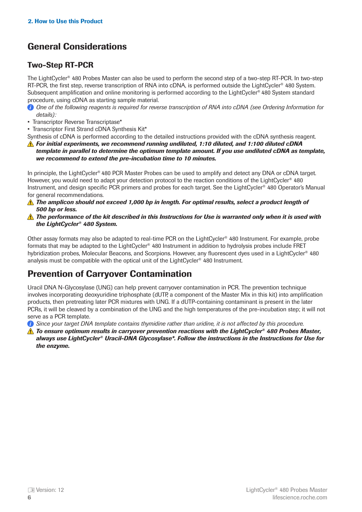# <span id="page-5-0"></span>General Considerations

### Two-Step RT-PCR

The LightCycler®  480 Probes Master can also be used to perform the second step of a two-step RT-PCR. In two-step RT-PCR, the first step, reverse transcription of RNA into cDNA, is performed outside the LightCycler<sup>®</sup> 480 System. Subsequent amplification and online monitoring is performed according to the LightCycler®  480 System standard procedure, using cDNA as starting sample material.

- *One of the following reagents is required for reverse transcription of RNA into cDNA (see Ordering Information for details):*
- Transcriptor Reverse Transcriptase\*
- Transcriptor First Strand cDNA Synthesis Kit\*

Synthesis of cDNA is performed according to the detailed instructions provided with the cDNA synthesis reagent.

*For initial experiments, we recommend running undiluted, 1:10 diluted, and 1:100 diluted cDNA template in parallel to determine the optimum template amount. If you use undiluted cDNA as template, we recommend to extend the pre-incubation time to 10 minutes.*

In principle, the LightCycler® 480 PCR Master Probes can be used to amplify and detect any DNA or cDNA target. However, you would need to adapt your detection protocol to the reaction conditions of the LightCycler<sup>®</sup> 480 Instrument, and design specific PCR primers and probes for each target. See the LightCycler®  480 Operator's Manual for general recommendations.

- *The amplicon should not exceed 1,000 bp in length. For optimal results, select a product length of 500 bp or less.*
- **A** The performance of the kit described in this Instructions for Use is warranted only when it is used with *the LightCycler® 480 System.*

Other assay formats may also be adapted to real-time PCR on the LightCycler®  480 Instrument. For example, probe formats that may be adapted to the LightCycler®  480 Instrument in addition to hydrolysis probes include FRET hybridization probes, Molecular Beacons, and Scorpions. However, any fluorescent dyes used in a LightCycler<sup>®</sup> 480 analysis must be compatible with the optical unit of the LightCycler®  480 Instrument.

# Prevention of Carryover Contamination

Uracil DNA N-Glycosylase (UNG) can help prevent carryover contamination in PCR. The prevention technique involves incorporating deoxyuridine triphosphate (dUTP, a component of the Master Mix in this kit) into amplification products, then pretreating later PCR mixtures with UNG. If a dUTP-containing contaminant is present in the later PCRs, it will be cleaved by a combination of the UNG and the high temperatures of the pre-incubation step; it will not serve as a PCR template.

*Since your target DNA template contains thymidine rather than uridine, it is not affected by this procedure.*

*To ensure optimum results in carryover prevention reactions with the LightCycler® 480 Probes Master, always use LightCycler® Uracil-DNA Glycosylase\*. Follow the instructions in the Instructions for Use for the enzyme.*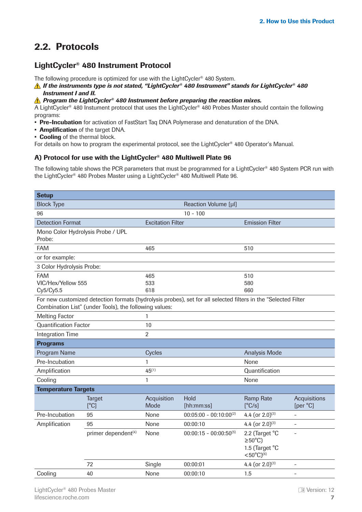# <span id="page-6-0"></span>2.2. Protocols

#### LightCycler® 480 Instrument Protocol

The following procedure is optimized for use with the LightCycler® 480 System.

*If the instruments type is not stated, "LightCycler® 480 Instrument" stands for LightCycler® 480 Instrument I and II.*

*Program the LightCycler® 480 Instrument before preparing the reaction mixes.*

A LightCycler® 480 Instument protocol that uses the LightCycler® 480 Probes Master should contain the following programs:

- Pre-Incubation for activation of FastStart Taq DNA Polymerase and denaturation of the DNA.
- Amplification of the target DNA.
- Cooling of the thermal block.

For details on how to program the experimental protocol, see the LightCycler® 480 Operator′s Manual.

#### A) Protocol for use with the LightCycler® 480 Multiwell Plate 96

The following table shows the PCR parameters that must be programmed for a LightCycler<sup>®</sup> 480 System PCR run with the LightCycler® 480 Probes Master using a LightCycler® 480 Multiwell Plate 96.

| <b>Setup</b>                      |                                                        |                          |                                                                                                                |                                                                          |                          |
|-----------------------------------|--------------------------------------------------------|--------------------------|----------------------------------------------------------------------------------------------------------------|--------------------------------------------------------------------------|--------------------------|
| <b>Block Type</b>                 |                                                        |                          | Reaction Volume [µl]                                                                                           |                                                                          |                          |
| 96                                |                                                        |                          | $10 - 100$                                                                                                     |                                                                          |                          |
| <b>Detection Format</b>           |                                                        | <b>Excitation Filter</b> |                                                                                                                | <b>Emission Filter</b>                                                   |                          |
| Mono Color Hydrolysis Probe / UPL |                                                        |                          |                                                                                                                |                                                                          |                          |
| Probe:                            |                                                        |                          |                                                                                                                |                                                                          |                          |
| <b>FAM</b>                        |                                                        | 465                      |                                                                                                                | 510                                                                      |                          |
| or for example:                   |                                                        |                          |                                                                                                                |                                                                          |                          |
| 3 Color Hydrolysis Probe:         |                                                        |                          |                                                                                                                |                                                                          |                          |
| <b>FAM</b>                        |                                                        | 465                      |                                                                                                                | 510                                                                      |                          |
| VIC/Hex/Yellow 555                |                                                        | 533                      |                                                                                                                | 580                                                                      |                          |
| Cy5/Cy5.5                         |                                                        | 618                      |                                                                                                                | 660                                                                      |                          |
|                                   | Combination List" (under Tools), the following values: |                          | For new customized detection formats (hydrolysis probes), set for all selected filters in the "Selected Filter |                                                                          |                          |
| <b>Melting Factor</b>             |                                                        | 1                        |                                                                                                                |                                                                          |                          |
| <b>Quantification Factor</b>      |                                                        | 10                       |                                                                                                                |                                                                          |                          |
| <b>Integration Time</b>           |                                                        | $\overline{2}$           |                                                                                                                |                                                                          |                          |
| <b>Programs</b>                   |                                                        |                          |                                                                                                                |                                                                          |                          |
| Program Name                      |                                                        | Cycles                   |                                                                                                                | <b>Analysis Mode</b>                                                     |                          |
| Pre-Incubation                    |                                                        | 1                        |                                                                                                                | None                                                                     |                          |
| Amplification                     | $45^{(1)}$                                             |                          | Quantification                                                                                                 |                                                                          |                          |
| Cooling                           |                                                        | 1                        |                                                                                                                | None                                                                     |                          |
| <b>Temperature Targets</b>        |                                                        |                          |                                                                                                                |                                                                          |                          |
|                                   | <b>Target</b>                                          | Acquisition              | Hold                                                                                                           | <b>Ramp Rate</b>                                                         | Acquisitions             |
|                                   | [°C]                                                   | Mode                     | [hh:mm:ss]                                                                                                     | [°C/s]                                                                   | [per °C]                 |
| Pre-Incubation                    | 95                                                     | None                     | $00:05:00 - 00:10:00^{(2)}$                                                                                    | 4.4 (or $2.0$ ) <sup>(3)</sup>                                           | $\overline{a}$           |
| Amplification                     | 95                                                     | None                     | 00:00:10                                                                                                       | 4.4 (or $2.0$ ) <sup>(3)</sup>                                           | $\overline{\phantom{0}}$ |
|                                   | primer dependent <sup>(4)</sup>                        | None                     | $00:00:15 - 00:00:50^{(5)}$                                                                                    | 2.2 (Target °C<br>$\geq 50^{\circ}$ C)<br>1.5 (Target °C<br><50°C) $(6)$ |                          |
|                                   | 72                                                     | Single                   | 00:00:01                                                                                                       | 4.4 (or $2.0$ ) <sup>(3)</sup>                                           | $\overline{\phantom{a}}$ |
| Cooling                           | 40                                                     | None                     | 00:00:10                                                                                                       | 1.5                                                                      | $\overline{\phantom{a}}$ |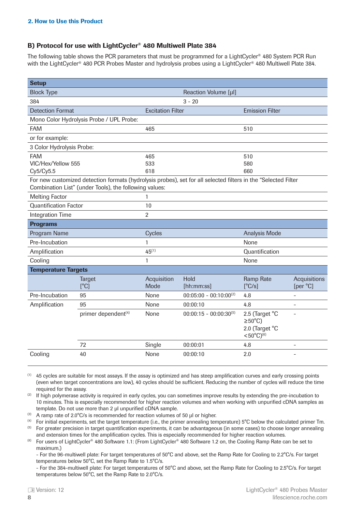#### B) Protocol for use with LightCycler® 480 Multiwell Plate 384

The following table shows the PCR parameters that must be programmed for a LightCycler® 480 System PCR Run with the LightCycler<sup>®</sup> 480 PCR Probes Master and hydrolysis probes using a LightCycler<sup>®</sup> 480 Multiwell Plate 384.

| <b>Setup</b>                                  |                                                                                                                                                                          |                          |                             |                                                                          |                          |
|-----------------------------------------------|--------------------------------------------------------------------------------------------------------------------------------------------------------------------------|--------------------------|-----------------------------|--------------------------------------------------------------------------|--------------------------|
| <b>Block Type</b>                             |                                                                                                                                                                          |                          | Reaction Volume [µl]        |                                                                          |                          |
| 384                                           |                                                                                                                                                                          |                          | $3 - 20$                    |                                                                          |                          |
| <b>Detection Format</b>                       |                                                                                                                                                                          | <b>Excitation Filter</b> |                             | <b>Emission Filter</b>                                                   |                          |
|                                               | Mono Color Hydrolysis Probe / UPL Probe:                                                                                                                                 |                          |                             |                                                                          |                          |
| <b>FAM</b>                                    |                                                                                                                                                                          | 465                      |                             | 510                                                                      |                          |
| or for example:                               |                                                                                                                                                                          |                          |                             |                                                                          |                          |
| 3 Color Hydrolysis Probe:                     |                                                                                                                                                                          |                          |                             |                                                                          |                          |
| <b>FAM</b>                                    |                                                                                                                                                                          | 465                      |                             | 510                                                                      |                          |
| VIC/Hex/Yellow 555                            |                                                                                                                                                                          | 533                      |                             | 580                                                                      |                          |
| Cy5/Cy5.5                                     |                                                                                                                                                                          | 618                      |                             | 660                                                                      |                          |
|                                               | For new customized detection formats (hydrolysis probes), set for all selected filters in the "Selected Filter<br>Combination List" (under Tools), the following values: |                          |                             |                                                                          |                          |
| <b>Melting Factor</b>                         |                                                                                                                                                                          | 1                        |                             |                                                                          |                          |
| <b>Quantification Factor</b>                  |                                                                                                                                                                          | 10                       |                             |                                                                          |                          |
| <b>Integration Time</b>                       |                                                                                                                                                                          | $\overline{2}$           |                             |                                                                          |                          |
| <b>Programs</b>                               |                                                                                                                                                                          |                          |                             |                                                                          |                          |
| Program Name                                  |                                                                                                                                                                          | Cycles                   |                             | <b>Analysis Mode</b>                                                     |                          |
| Pre-Incubation<br>1<br>None                   |                                                                                                                                                                          |                          |                             |                                                                          |                          |
| $45^{(1)}$<br>Quantification<br>Amplification |                                                                                                                                                                          |                          |                             |                                                                          |                          |
| Cooling<br>$\mathbf{1}$<br>None               |                                                                                                                                                                          |                          |                             |                                                                          |                          |
| <b>Temperature Targets</b>                    |                                                                                                                                                                          |                          |                             |                                                                          |                          |
|                                               | <b>Target</b>                                                                                                                                                            | Acquisition              | Hold                        | <b>Ramp Rate</b>                                                         | Acquisitions             |
|                                               | [°C]                                                                                                                                                                     | Mode                     | [hh:mm:ss]                  | [°C/s]                                                                   | [per °C]                 |
| Pre-Incubation                                | 95                                                                                                                                                                       | None                     | $00:05:00 - 00:10:00^{(2)}$ | 4.8                                                                      | $\overline{\phantom{0}}$ |
| Amplification                                 | 95                                                                                                                                                                       | None                     | 00:00:10                    | 4.8                                                                      | $\overline{\phantom{0}}$ |
|                                               | primer dependent <sup>(4)</sup>                                                                                                                                          | None                     | $00:00:15 - 00:00:30^{(5)}$ | 2.5 (Target °C<br>$\geq 50^{\circ}$ C)<br>2.0 (Target °C<br><50°C) $(6)$ | $\overline{a}$           |
|                                               | 72                                                                                                                                                                       | Single                   | 00:00:01                    | 4.8                                                                      | $\overline{\phantom{0}}$ |
| Cooling                                       | 40                                                                                                                                                                       | None                     | 00:00:10                    | 2.0                                                                      |                          |

 $(1)$  45 cycles are suitable for most assays. If the assay is optimized and has steep amplification curves and early crossing points (even when target concentrations are low), 40 cycles should be sufficient. Reducing the number of cycles will reduce the time required for the assay.

<sup>(2)</sup> If high polymerase activity is required in early cycles, you can sometimes improve results by extending the pre-incubation to 10 minutes. This is especially recommended for higher reaction volumes and when working with unpurified cDNA samples as template. Do not use more than 2 μl unpurified cDNA sample. 

(3) A ramp rate of 2.0°C/s is recommended for reaction volumes of 50 μl or higher. 

(4) For initial experiments, set the target temperature (i.e., the primer annealing temperature) 5°C below the calculated primer Tm.  (5) For greater precision in target quantification experiments, it can be advantageous (in some cases) to choose longer annealing and extension times for the amplification cycles. This is especially recommended for higher reaction volumes. 

<sup>(6)</sup> For users of LightCycler<sup>®</sup> 480 Software 1.1: (From LightCycler<sup>®</sup> 480 Software 1.2 on, the Cooling Ramp Rate can be set to maximum.)

- For the 96-multiwell plate: For target temperatures of 50°C and above, set the Ramp Rate for Cooling to 2.2°C/s. For target temperatures below 50°C, set the Ramp Rate to 1.5°C/s.

- For the 384-multiwell plate: For target temperatures of 50°C and above, set the Ramp Rate for Cooling to 2.5°C/s. For target temperatures below 50°C, set the Ramp Rate to 2.0°C/s.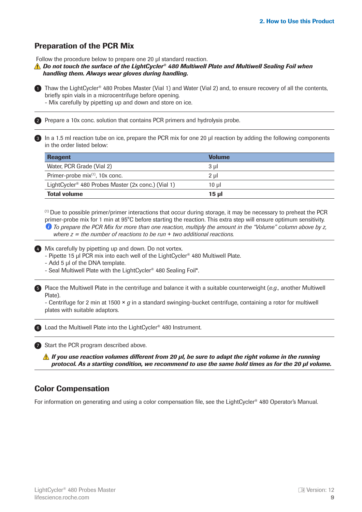#### <span id="page-8-0"></span>Preparation of the PCR Mix

Follow the procedure below to prepare one 20 μl standard reaction.

*Do not touch the surface of the LightCycler® 480 Multiwell Plate and Multiwell Sealing Foil when handling them. Always wear gloves during handling.* 

**Thaw the LightCycler<sup>®</sup> 480 Probes Master (Vial 1) and Water (Vial 2) and, to ensure recovery of all the contents,** briefly spin vials in a microcentrifuge before opening.

- Mix carefully by pipetting up and down and store on ice. 

2) Prepare a 10x conc. solution that contains PCR primers and hydrolysis probe.

3) In a 1.5 ml reaction tube on ice, prepare the PCR mix for one 20 μl reaction by adding the following components in the order listed below:

| <b>Reagent</b>                                                 | <b>Volume</b> |
|----------------------------------------------------------------|---------------|
| Water, PCR Grade (Vial 2)                                      | 3 µl          |
| Primer-probe mix <sup>(1)</sup> , 10x conc.                    | $2 \mu$       |
| LightCycler <sup>®</sup> 480 Probes Master (2x conc.) (Vial 1) | 10 ul         |
| <b>Total volume</b>                                            | 15 µl         |

(1)  Due to possible primer/primer interactions that occur during storage, it may be necessary to preheat the PCR primer-probe mix for 1 min at 95°C before starting the reaction. This extra step will ensure optimum sensitivity. *To prepare the PCR Mix for more than one reaction, multiply the amount in the "Volume" column above by z, where z = the number of reactions to be run* + *two additional reactions.*

4 Mix carefully by pipetting up and down. Do not vortex.

- Pipette 15 μl PCR mix into each well of the LightCycler® 480 Multiwell Plate.

- Add 5 μl of the DNA template.

- Seal Multiwell Plate with the LightCycler® 480 Sealing Foil\*. 

5) Place the Multiwell Plate in the centrifuge and balance it with a suitable counterweight (e.g., another Multiwell Plate).

- Centrifuge for 2 min at 1500 × *g* in a standard swinging-bucket centrifuge, containing a rotor for multiwell plates with suitable adaptors.

6 Load the Multiwell Plate into the LightCycler<sup>®</sup> 480 Instrument.

7 Start the PCR program described above.

*If you use reaction volumes different from 20 μl, be sure to adapt the right volume in the running protocol. As a starting condition, we recommend to use the same hold times as for the 20 μl volume.*

#### Color Compensation

For information on generating and using a color compensation file, see the LightCycler® 480 Operator's Manual.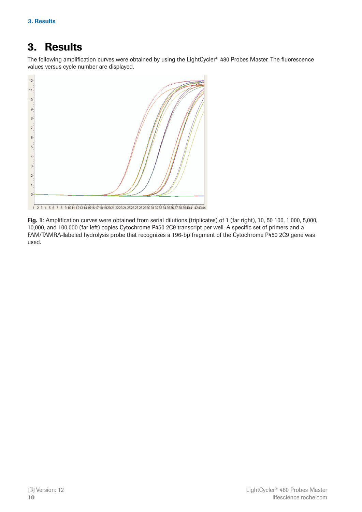# <span id="page-9-0"></span>3. Results

The following amplification curves were obtained by using the LightCycler® 480 Probes Master. The fluorescence values versus cycle number are displayed.



Fig. 1: Amplification curves were obtained from serial dilutions (triplicates) of 1 (far right), 10, 50 100, 1,000, 5,000, 10,000, and 100,000 (far left) copies Cytochrome P450 2C9 transcript per well. A specific set of primers and a FAM/TAMRA-labeled hydrolysis probe that recognizes a 196-bp fragment of the Cytochrome P450 2C9 gene was used.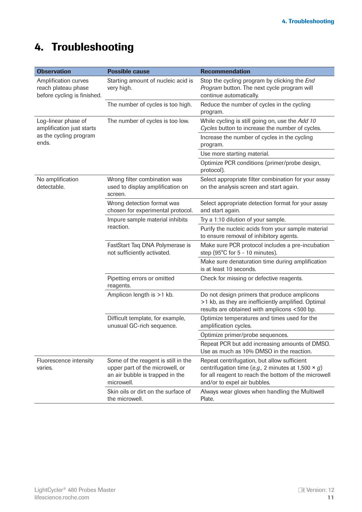# <span id="page-10-0"></span>4. Troubleshooting

| <b>Observation</b>                                                         | <b>Possible cause</b>                                                                                                   | <b>Recommendation</b>                                                                                                                                                                            |
|----------------------------------------------------------------------------|-------------------------------------------------------------------------------------------------------------------------|--------------------------------------------------------------------------------------------------------------------------------------------------------------------------------------------------|
| Amplification curves<br>reach plateau phase<br>before cycling is finished. | Starting amount of nucleic acid is<br>very high.                                                                        | Stop the cycling program by clicking the End<br>Program button. The next cycle program will<br>continue automatically.                                                                           |
|                                                                            | The number of cycles is too high.                                                                                       | Reduce the number of cycles in the cycling<br>program.                                                                                                                                           |
| Log-linear phase of<br>amplification just starts                           | The number of cycles is too low.                                                                                        | While cycling is still going on, use the Add 10<br>Cycles button to increase the number of cycles.                                                                                               |
| as the cycling program<br>ends.                                            |                                                                                                                         | Increase the number of cycles in the cycling<br>program.                                                                                                                                         |
|                                                                            |                                                                                                                         | Use more starting material.                                                                                                                                                                      |
|                                                                            |                                                                                                                         | Optimize PCR conditions (primer/probe design,<br>protocol).                                                                                                                                      |
| No amplification<br>detectable.                                            | Wrong filter combination was<br>used to display amplification on<br>screen.                                             | Select appropriate filter combination for your assay<br>on the analysis screen and start again.                                                                                                  |
|                                                                            | Wrong detection format was<br>chosen for experimental protocol.                                                         | Select appropriate detection format for your assay<br>and start again.                                                                                                                           |
|                                                                            | Impure sample material inhibits                                                                                         | Try a 1:10 dilution of your sample.                                                                                                                                                              |
|                                                                            | reaction.                                                                                                               | Purify the nucleic acids from your sample material<br>to ensure removal of inhibitory agents.                                                                                                    |
|                                                                            | FastStart Taq DNA Polymerase is<br>not sufficiently activated.                                                          | Make sure PCR protocol includes a pre-incubation<br>step (95°C for 5 - 10 minutes).                                                                                                              |
|                                                                            |                                                                                                                         | Make sure denaturation time during amplification<br>is at least 10 seconds.                                                                                                                      |
|                                                                            | Pipetting errors or omitted<br>reagents.                                                                                | Check for missing or defective reagents.                                                                                                                                                         |
|                                                                            | Amplicon length is >1 kb.                                                                                               | Do not design primers that produce amplicons<br>>1 kb, as they are inefficiently amplified. Optimal<br>results are obtained with amplicons <500 bp.                                              |
|                                                                            | Difficult template, for example,<br>unusual GC-rich sequence.                                                           | Optimize temperatures and times used for the<br>amplification cycles.                                                                                                                            |
|                                                                            |                                                                                                                         | Optimize primer/probe sequences.                                                                                                                                                                 |
|                                                                            |                                                                                                                         | Repeat PCR but add increasing amounts of DMSO.<br>Use as much as 10% DMSO in the reaction.                                                                                                       |
| Fluorescence intensity<br>varies.                                          | Some of the reagent is still in the<br>upper part of the microwell, or<br>an air bubble is trapped in the<br>microwell. | Repeat centrifugation, but allow sufficient<br>centrifugation time (e.g., 2 minutes at 1,500 $\times$ g)<br>for all reagent to reach the bottom of the microwell<br>and/or to expel air bubbles. |
|                                                                            | Skin oils or dirt on the surface of<br>the microwell.                                                                   | Always wear gloves when handling the Multiwell<br>Plate.                                                                                                                                         |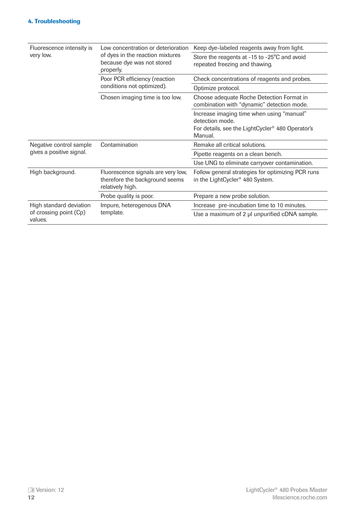| Fluorescence intensity is         | Low concentration or deterioration                                                       | Keep dye-labeled reagents away from light.                                                                                              |  |
|-----------------------------------|------------------------------------------------------------------------------------------|-----------------------------------------------------------------------------------------------------------------------------------------|--|
| very low.                         | of dyes in the reaction mixtures<br>because dye was not stored<br>properly.              | Store the reagents at -15 to -25°C and avoid<br>repeated freezing and thawing.                                                          |  |
|                                   | Poor PCR efficiency (reaction<br>conditions not optimized).                              | Check concentrations of reagents and probes.                                                                                            |  |
|                                   |                                                                                          | Optimize protocol.                                                                                                                      |  |
|                                   | Chosen imaging time is too low.                                                          | Choose adequate Roche Detection Format in<br>combination with "dynamic" detection mode.                                                 |  |
|                                   |                                                                                          | Increase imaging time when using "manual"<br>detection mode.<br>For details, see the LightCycler <sup>®</sup> 480 Operator's<br>Manual. |  |
| Negative control sample           | Contamination                                                                            | Remake all critical solutions.                                                                                                          |  |
| gives a positive signal.          |                                                                                          | Pipette reagents on a clean bench.                                                                                                      |  |
|                                   |                                                                                          | Use UNG to eliminate carryover contamination.                                                                                           |  |
| High background.                  | Fluorescence signals are very low,<br>therefore the background seems<br>relatively high. | Follow general strategies for optimizing PCR runs<br>in the LightCycler <sup>®</sup> 480 System.                                        |  |
|                                   | Probe quality is poor.                                                                   | Prepare a new probe solution.                                                                                                           |  |
| High standard deviation           | Impure, heterogenous DNA                                                                 | Increase pre-incubation time to 10 minutes.                                                                                             |  |
| of crossing point (Cp)<br>values. | template.                                                                                | Use a maximum of 2 µl unpurified cDNA sample.                                                                                           |  |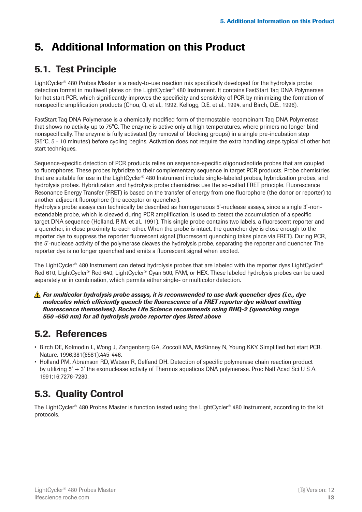# <span id="page-12-0"></span>5. Additional Information on this Product

# 5.1. Test Principle

LightCycler® 480 Probes Master is a ready-to-use reaction mix specifically developed for the hydrolysis probe detection format in multiwell plates on the LightCycler® 480 Instrument. It contains FastStart Taq DNA Polymerase for hot start PCR, which significantly improves the specificity and sensitivity of PCR by minimizing the formation of nonspecific amplification products (Chou, Q. et al., 1992, Kellogg, D.E. et al., 1994, and Birch, D.E., 1996).

FastStart Taq DNA Polymerase is a chemically modified form of thermostable recombinant Taq DNA Polymerase that shows no activity up to 75°C. The enzyme is active only at high temperatures, where primers no longer bind nonspecifically. The enzyme is fully activated (by removal of blocking groups) in a single pre-incubation step (95°C, 5 - 10 minutes) before cycling begins. Activation does not require the extra handling steps typical of other hot start techniques.

Sequence-specific detection of PCR products relies on sequence-specific oligonucleotide probes that are coupled to fluorophores. These probes hybridize to their complementary sequence in target PCR products. Probe chemistries that are suitable for use in the LightCycler® 480 Instrument include single-labeled probes, hybridization probes, and hydrolysis probes. Hybridization and hydrolysis probe chemistries use the so-called FRET principle. Fluorescence Resonance Energy Transfer (FRET) is based on the transfer of energy from one fluorophore (the donor or reporter) to another adjacent fluorophore (the acceptor or quencher).

Hydrolysis probe assays can technically be described as homogeneous 5'-nuclease assays, since a single 3'-nonextendable probe, which is cleaved during PCR amplification, is used to detect the accumulation of a specific target DNA sequence (Holland, P. M. et al., 1991). This single probe contains two labels, a fluorescent reporter and a quencher, in close proximity to each other. When the probe is intact, the quencher dye is close enough to the reporter dye to suppress the reporter fluorescent signal (fluorescent quenching takes place via FRET). During PCR, the 5'-nuclease activity of the polymerase cleaves the hydrolysis probe, separating the reporter and quencher. The reporter dye is no longer quenched and emits a fluorescent signal when excited.

The LightCycler® 480 Instrument can detect hydrolysis probes that are labeled with the reporter dyes LightCycler® Red 610, LightCycler® Red 640, LightCycler® Cyan 500, FAM, or HEX. These labeled hydrolysis probes can be used separately or in combination, which permits either single- or multicolor detection.

*For multicolor hydrolysis probe assays, it is recommended to use dark quencher dyes (i.e., dye molecules which efficiently quench the fluorescence of a FRET reporter dye without emitting fluorescence themselves). Roche Life Science recommends using BHQ-2 (quenching range 550 -650 nm) for all hydrolysis probe reporter dyes listed above*

# 5.2. References

- Birch DE, Kolmodin L, Wong J, Zangenberg GA, Zoccoli MA, McKinney N, Young KKY. Simplified hot start PCR. Nature. 1996;381(6581):445-446.
- Holland PM, Abramson RD, Watson R, Gelfand DH. Detection of specific polymerase chain reaction product by utilizing 5′ → 3′ the exonuclease activity of Thermus aquaticus DNA polymerase. Proc Natl Acad Sci U S A. 1991;16:7276-7280.

# 5.3. Quality Control

The LightCycler® 480 Probes Master is function tested using the LightCycler® 480 Instrument, according to the kit protocols.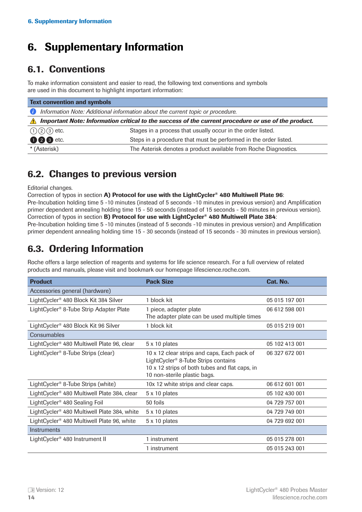# <span id="page-13-0"></span>6. Supplementary Information

# 6.1. Conventions

To make information consistent and easier to read, the following text conventions and symbols are used in this document to highlight important information:

| <b>Text convention and symbols</b>                                                                                |                                                                  |  |  |
|-------------------------------------------------------------------------------------------------------------------|------------------------------------------------------------------|--|--|
| Information Note: Additional information about the current topic or procedure.<br>61                              |                                                                  |  |  |
| Important Note: Information critical to the success of the current procedure or use of the product.<br>$\sqrt{N}$ |                                                                  |  |  |
| $(1)(2)(3)$ etc.                                                                                                  | Stages in a process that usually occur in the order listed.      |  |  |
| <b>006</b> etc.                                                                                                   | Steps in a procedure that must be performed in the order listed. |  |  |
| * (Asterisk)                                                                                                      | The Asterisk denotes a product available from Roche Diagnostics. |  |  |

# 6.2. Changes to previous version

Editorial changes.

Correction of typos in section A) Protocol for use with the LightCycler<sup>®</sup> 480 Multiwell Plate 96:

Pre-Incubation holding time 5 -10 minutes (instead of 5 seconds -10 minutes in previous version) and Amplification primer dependent annealing holding time 15 - 50 seconds (instead of 15 seconds - 50 minutes in previous version). Correction of typos in section B) Protocol for use with LightCycler<sup>®</sup> 480 Multiwell Plate 384:

Pre-Incubation holding time 5 -10 minutes (instead of 5 seconds -10 minutes in previous version) and Amplification primer dependent annealing holding time 15 - 30 seconds (instead of 15 seconds - 30 minutes in previous version).

# 6.3. Ordering Information

**Product Cat. No. 2018 Cat. No. 2018 Pack Size Cat. No. 2018 Cat. No. 2018** Accessories general (hardware) LightCycler<sup>®</sup> 480 Block Kit 384 Silver 1 block kit 05 015 197 001 LightCycler<sup>®</sup> 8-Tube Strip Adapter Plate 1 piece, adapter plate The adapter plate can be used multiple times 06 612 598 001 LightCycler<sup>®</sup> 480 Block Kit 96 Silver 1 block kit 05 015 219 001 **Consumables** LightCycler<sup>®</sup> 480 Multiwell Plate 96, clear  $5 \times 10$  plates  $05 \times 100$  blates 05 102 413 001 LightCycler<sup>®</sup> 8-Tube Strips (clear) 10 x 12 clear strips and caps, Each pack of LightCycler® 8-Tube Strips contains 10 x 12 strips of both tubes and flat caps, in 10 non-sterile plastic bags. 06 327 672 001 LightCycler® 8-Tube Strips (white) 10x 12 white strips and clear caps. 06 612 601 001 LightCycler<sup>®</sup> 480 Multiwell Plate 384, clear  $5 \times 10$  plates  $05 \times 100$  102 430 001 LightCycler<sup>®</sup> 480 Sealing Foil 50 foils  $\frac{1}{2}$  50 foils 04 729 757 001 LightCycler<sup>®</sup> 480 Multiwell Plate 384, white 5 x 10 plates 04 729 749 001 LightCycler<sup>®</sup> 480 Multiwell Plate 96, white 5 x 10 plates 64 729 692 001 **Instruments** LightCycler<sup>®</sup> 480 Instrument II 1 instrument 1 instrument 05 015 278 001 1 instrument 05 015 243 001

Roche offers a large selection of reagents and systems for life science research. For a full overview of related products and manuals, please visit and bookmark our homepage lifescience.roche.com.